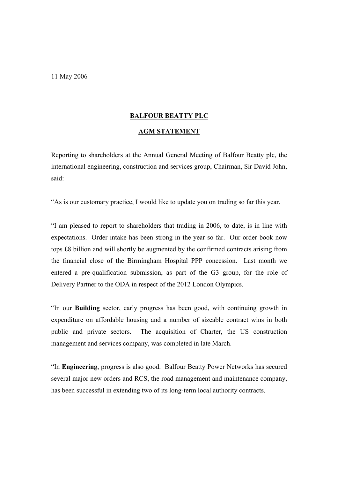11 May 2006

## **BALFOUR BEATTY PLC**

## **AGM STATEMENT**

Reporting to shareholders at the Annual General Meeting of Balfour Beatty plc, the international engineering, construction and services group, Chairman, Sir David John, said:

"As is our customary practice, I would like to update you on trading so far this year.

"I am pleased to report to shareholders that trading in 2006, to date, is in line with expectations. Order intake has been strong in the year so far. Our order book now tops £8 billion and will shortly be augmented by the confirmed contracts arising from the financial close of the Birmingham Hospital PPP concession. Last month we entered a pre-qualification submission, as part of the G3 group, for the role of Delivery Partner to the ODA in respect of the 2012 London Olympics.

"In our **Building** sector, early progress has been good, with continuing growth in expenditure on affordable housing and a number of sizeable contract wins in both public and private sectors. The acquisition of Charter, the US construction management and services company, was completed in late March.

"In **Engineering**, progress is also good. Balfour Beatty Power Networks has secured several major new orders and RCS, the road management and maintenance company, has been successful in extending two of its long-term local authority contracts.